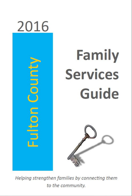

# Family **Services Guide**



Helping strengthen families by connecting them to the community.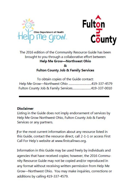



The 2016 edition of the Community Resource Guide has been brought to you through a collaborative effort between **Help Me Grow--Northwest Ohio** ຎ **Fulton County Job & Family Services** 

To obtain copies of the Guide contact: Help Me Grow-Northwest Ohio ..............................419-337-4579 Fulton County Job & Family Services........................419-337-0010

#### **Disclaimer**

Listing in the Guide does not imply endorsement of services by Help Me Grow Northwest Ohio, Fulton County Job & Family Services or any partners.

For the most current information about any resource listed in this Guide, contact the resource direct, call 2-1-1 or access First Call For Help's website at www.firstcallnwo.org.

Information in this Guide may be used freely by individuals and agencies that have received copies; however, the 2016 Community Resource Guide may not be copied and/or reproduced in any format without receiving written permission from Help Me Grow-Northwest Ohio. You may make inquiries, corrections or additions by calling 419-337-4579.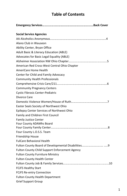## **Table of Contents**

| <b>Social Service Agencies</b>                 |
|------------------------------------------------|
|                                                |
| Alano Club in Wauseon                          |
| Ability Center, Bryan Office                   |
| Adult Basic & Literacy Education (ABLE)        |
| Advocates for Basic Legal Equality (ABLE)      |
|                                                |
| American Red Cross-West Central Ohio Chapter   |
| AmeriCare Home Health                          |
| Center for Child and Family Advocacy           |
| <b>Community Health Professionals</b>          |
|                                                |
| <b>Community Pregnancy Centers</b>             |
| Cystic Fibrosis Center-Pediatric               |
| Divorce Care                                   |
|                                                |
| Easter Seals Society of Northwest Ohio         |
| Epilepsy Center Services of Northwest Ohio     |
| Family and Children First Council              |
| <b>Family Justice Center</b>                   |
| Four County ADAMhs Board                       |
|                                                |
| Four County L.O.S.S. Team                      |
| Friendship House                               |
| <b>FulCare Behavioral Health</b>               |
|                                                |
| Fulton County Child Support Enforcement Agency |
| <b>Fulton County Furniture Ministry</b>        |
| <b>Fulton County Health Center</b>             |
|                                                |
| <b>FCJFS Healthy Start</b>                     |
| <b>FCJFS Re-entry Connection</b>               |
| <b>Fulton County Health Department</b>         |
| <b>Grief Support Group</b>                     |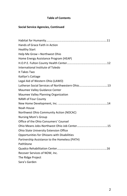#### **Table of Contents**

#### **Social Service Agencies, Continued**

| Hands of Grace Faith in Action                |
|-----------------------------------------------|
| <b>Healthy Start</b>                          |
| Help Me Grow-Northwest Ohio                   |
| Home Energy Assistance Program (HEAP)         |
|                                               |
| International Institute of Toledo             |
| It Takes Two                                  |
| Kaitlyn's Cottage                             |
| Legal Aid of Western Ohio (LAWO)              |
|                                               |
| Maumee Valley Guidance Center                 |
| Maumee Valley Planning Organization           |
| <b>NAMI of Four County</b>                    |
|                                               |
| Noah House                                    |
| Northwest Ohio Community Action (NOCAC)       |
| Nursing Mom's Group                           |
| Office of the Ohio Consumers' Counsel         |
|                                               |
| <b>Ohio State University Extension Office</b> |
| Opportunities for Ohioans with Disabilities   |
| Partnership Assistance to the Homeless (PATH) |
| PathStone                                     |
|                                               |
| Recover Services of NOW, Inc.                 |
| The Ridge Project                             |
| Sara's Garden                                 |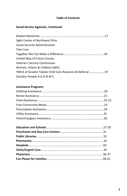#### **Table of Contents**

#### **Social Service Agencies, Continued**

| Sight Center of Northwest Ohio                          |
|---------------------------------------------------------|
| Social Security Administration                          |
| Teen Line                                               |
|                                                         |
| United Way of Fulton County                             |
| Veteran's Service Commission                            |
| Women, Infants & Children (WIC)                         |
| YWCA of Greater Toledo Child Care Resource & Referral19 |
| Zenobia Temple A.A.O.N.M.S                              |

#### **Assistance Programs**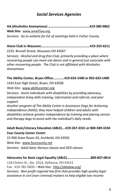## *Social Services Agencies*

**AA (Alcoholics Anonymous) …………………….………….………..419-380-9862**

**Web Site:** [www.area55aa.org](http://www.area55aa.org/) *Services: Go to website for list of meetings held in Fulton County*

**Alano Club in Wauseon……………………………………………..…..419-335-6211** 222S. Brunell Street, Wauseon OH 43567

*Services: Alcohol and drug-free Club, primarily providing a place where recovering people can meet-eat-dance and in general just associate with other recovering people. The Club is not affiliated with Alcoholics Anonymous.*

**The Ability Center, Bryan Office.………...419-633-1400 or 855-633-1400** 

1425 East High Street, Bryan, OH 43506

Web Site: [www.abilitycenter.org](http://www.abilitycenter.org/)

*Services: Assist individuals with disabilities by providing advocacy, independent living skills training, information and referral, and peer support.*

*Another program of The Ability Center is Assistance Dogs for Achieving Independence (ADAI); they have helped children and adults with disabilities achieve greater independence by training and placing service and therapy dogs to assist with the individual's daily needs.*

#### **Adult Basic/Literacy Education (ABLE)….419-267-3331 or 800-589-3334** *Four County Career Center*

22-900 State Route 34, Archbold, OH 43502 Web Site: [www.fourcounty.net](http://www.fourcounty.net/) *Services: Adult basic literacy classes and GED classes.*

#### **Advocates for Basic Legal Equality (ABLE)…………………...….800-837-0814**

118 Clinton St., Ste. 101A, Defiance, OH 43515 Fax: 419-782-5830 – Web Site:<http://ablelaw.org/> *Services: Non-profit regional law firm that provides high quality legal assistance in civil (non-criminal) matters to help eligible low-income*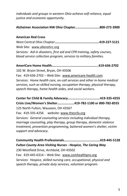*individuals and groups in western Ohio achieve self-reliance, equal justice and economic opportunity.*

#### **Alzheimer Association NW Ohio Chapter………………………..800-272-3900**

#### **American Red Cross**

West Central Ohio Chapter**………………………………….………….419-227-5121** Web Site: www.allenohrc.org *Services: Aid in disasters, first aid and CPR training, safety courses, blood service collection program, services to military families.*

#### **AmeriCare Home Health…………………………..……….…….…...419-636-2702**

102 W. Bryon Street, Bryan, OH 43506

Fax: 419-636-2702 – Web Site: [www.americare-health.com](http://www.americare-health.com/) *Services: Home health care, on-call services and other in-home medical services, such as skilled nursing, occupation therapy, physical therapy, speech therapy, home health aides, and social workers.*

**Center for Child & Family Advocacy…………….….………..…….419-335-4255 Crisis Line/Women's Shelter………….…….419-782-1100 or 800-782-8555** 125 North Fulton, Wauseon, OH 43567 Fax: 419-335-4256 website: www.theccfa.org *Services: General counseling services including individual therapy, marriage counseling, play therapy, group therapy, domestic violence treatment, prevention programming, battered women's shelter, victim support and advocacy.*

**Community Health Professionals……………………………….……419-445-5128** *Fulton County Area Visiting Nurses - Hospice, The Caring Way* 230 Westfield Drive, Archbold, OH 43502 Fax: 419-445-6314 - Web Site: [www.comhealthpro.org](http://www.comhealthpro.org/) *Services: Hospice, skilled nursing care, occupational, physical and speech therapy, private duty services, volunteer program.*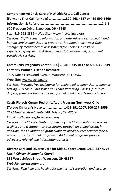#### **Comprehensive Crisis Care of NW Ohio/2-1-1 Call Center**

**(Formerly First Call for Help) ………………..800-468-4357 or 419-599-1660 Information & Referral……………………………………….………..…………….2-1-1**

600 Freedom Drive, Napoleon, OH 43545

Fax: 419-592-8336 – Web Site: www.firstcallnwo.org

*Services: 24/7 access to information and referral services to health and human service agencies and programs throughout northwest Ohio, emergency mental health assessments for persons in crisis or experiencing psychiatric distress, crisis stabilization unit, outpatient psychiatric services.*

#### **Community Pregnancy Center (CPC) ……419-335-0117 or 800-633-3339 Formerly Women's Health Resource**

1499 North Glenwood Avenue, Wauseon, OH 43567

Web Site: [www.cpcnwo.org](http://www.cpcnwo.org/)

*Services: Provides free assistance for unplanned pregnancies, pregnancy testing, STD clinic, Earn While You Learn Parenting Classes, furniture, diapers, post-abortion counseling, formula and breastfeeding classes.*

## **Cystic Fibrosis Center-Pediatric/Adult Program Northwest Ohio (Toledo Children's Hospital)………………….419-291-2007/800-227-2959**

*2121 Hughes Street, Suite 640, Toledo, OH 43606*

*Email: [cathy.doney@promedica.org](mailto:cathy.doney@promedica.org)*

*Services: The CF Care Center if funded by the CF Foundation to provide wellness and treatment care programs through an annual grant; in addition, the Foundations' grant supports ancillary care services (social worker and educational programs). Additional programs provide advocacy, referral and information services.*

**Divorce Care and Divorce Care for Kids Support Group….419-337-4776** *North Clinton Mennonite Church* **831 West Linfoot Street, Wauseon, OH 43567** *Website: northclinton.org Services: Find help and healing for the hurt of separation and divorce.*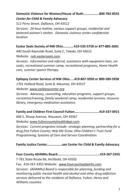#### **Domestic Violence for Women/House of Ruth……………….800-782-8555** *Center for Child & Family Advocacy*

*511 Perry Street, Defiance, OH 43512 Services: 24-hour hotline, various support groups, residential and battered women's shelter. Domestic violence center-confidential location*

#### **Easter Seals Society of NW Ohio……….…419-535-5750 or 877-885-2601**

440 South Reynolds Road, Suite C, Toledo, OH 43615

Website: noh.easterseals.com

*Services: Information and referral, assistance with equipment loan, car seats, recreational summer camp, recreational programs, Home Health care, summer speech therapy.*

#### **Epilepsy Center Services of NW Ohio.....419-867-5950 or 800-589-5958**

*1701 Holland Road, Suite B, Maumee, OH 43537*

*Website: [www.epilepsycenter.org](http://www.epilepsycenter.org/)*

*Services: Advocacy, counseling, education programs, support groups, recreation/training, family weekend camp, residential services, resource library, emergency medication assistance.*

#### **Family and Children First Council-Fulton…………………...…..419-337-0915**

606 S. Shoop Avenue, Wauseon, OH 43567

Website: [www.fultoncountyhealthdept.com](http://www.fultoncountyhealthdept.com/)

*Services: Current programs include- strategic planning; partnership for a drug free Fulton County; Help Me Grow; Ohio Children's Trust Fund Programming; Systems of Care and Service Coordination.*

#### **Family Justice Center………………see Center for Child & Family Advocacy**

**Four County ADAMhs Board…………………………………......…..419-267-3355** T-761 State Route 66, Archbold, OH 43502 Fax: 419-267-3353 Website: www.fourcountyadamhs.com *Services: (ADAMhs) Board is responsible for planning, funding and monitoring public mental health and alcohol and other drug addiction services delivered to the residents of Defiance, Fulton, Henry and Williams counties.*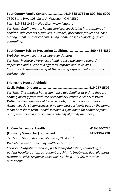# **Four County Family Center…………….…….419-335-3732 or 800-693-6000**

7320 State Hwy 108; Suite A, Wauseon, OH 43567

Fax: 419-335-3462 – Web Site: [www.fsno.org](http://www.fsno.org/)

*Services: Quality mental health services, specializing in treatment of children, adolescents & families, outreach, prevention/education, case management, outpatient counseling, home-based counseling, group counseling.*

**Four County Suicide Prevention Coalition…………………….…800-468-4357**

*Website: [www.4countysuicideprevention.org](http://www.4countysuicideprevention.org/) Services: Increase awareness of and reduce the stigma toward depression and suicide in a effort to improve and save lives. Substance Abuse—how to spot the warning signs and information on seeking help.* 

#### **Friendship House-Archbold**

**Cecily Rohrs, Director ……………………………………………………419-267-5502** *Services: This modest home can house two families at a time that are coming directly from with the Archbold or Pettisville School districts. Within walking distance of town, schools, and work opportunities. (Under special circumstances, if no homeless residents occupy the home, it can be a short-term Ronald McDonald-type home for someone from out of town needing to be near a critically ill family member.)* 

725 South Shoop Avenue, Wauseon, OH 43567

*Website: www.fultoncounyhealthcenter.org*

*Services: Outpatient services, partial hospitalization, counseling, inpatient hospitalization, outpatient psychiatric treatment, dual diagnosis treatment, crisis response assistance site help –CRASH, Intensive outpatient;*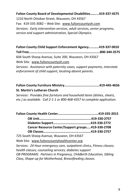### **Fulton County Board of Developmental Disabilities……....419-337-4575** 1210 North Ottokee Street, Wauseon, OH 43567 Fax: 419-335-3082 – Web Site: [www.fultoncountyoh.com](http://www.fultoncountyoh.com/) *Services: Early intervention services, adult services, senior programs, service and support administration, Special Olympics.*

**Fulton County Child Support Enforcement Agency…….…..419-337-0010 Toll Free...…….…………………………………………………………….....800-344-3575** 604 South Shoop Avenue, Suite 200, Wauseon, OH 43567 Web Site: [www.fultoncountyoh.com](http://www.fultoncountyoh.com/) *Services: Assistance with paternity cases, support payments, interstate enforcement of child support, locating absent parents.*

#### **Fulton County Furniture Ministry……………………………………419-445-4656 St. Martin's Lutheran Church**

*Services: Provides free furniture and household items (dishes, sheets, etc.) as available. Call 2-1-1 or 800-468-4357 to complete application.*

**Fulton County Health Center……………………….…………….….419-335-2015 OB Unit…………………………………………………..…419-330-2757 Diabetes Support………………………………………419-330-2772**

| Cancer Resource Center/Support groups419-330-2708 |
|---------------------------------------------------|

**OB Classes…………………………………………………419-330-2757**

725 South Shoop Avenue, Wauseon, OH 43567

Web Site: [www.fultoncountyhealthcenter.org](http://www.fultoncountyhealthcenter.org/)

*Services: 24 Hour emergency care, outpatient clinics, Fitness classes; health classes; counseling services; diabetes support OB PROGRAMS: Partners in Pregnancy, Childbirth Education, Sibling Class, Shape-up for Motherhood, Breastfeeding classes.*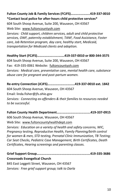#### **Fulton County Job & Family Services (FCJFS)…………………..419-337-0010 \*Contact local police for after-hours child protective services\***

604 South Shoop Avenue, Suite 200, Wauseon, OH 43567

Web Site: [www.fultoncountyoh.com](http://www.fultoncountyoh.com/)

*Services: Child support, children services, adult and child protective services, OWF, paternity establishment, TANF, Food Assistance, Foster care, Job Retention program, day care, healthy start, Medicaid, transportation for Medicaid clients and adoption.*

#### **Healthy Start (FCJFS)………………...….…….419-337-0010 or 800-344-3575**

604 South Shoop Avenue, Suite 200, Wauseon, OH 43567 Fax: 419-335-0061 Website: fultoncountyoh.com *Services: Medical care, preventative care, mental health care, substance abuse care for pregnant and post-partum women.*

**Re-entry Connection (JCJFS)……………………….....419-337-0010 ext. 1842**

604 South Shoop Avenue, Wauseon, OH 43567

Email[: linda.fisher@jfs.ohio.gov](mailto:linda.fisher@jfs.ohio.gov)

*Services: Connecting ex-offenders & their families to resources needed to be successful.* 

**Fulton County Health Department…….……………….……….….419-337-0915**

606 South Shoop Avenue, Wauseon, OH 43567

Web Site: [www.fultoncountyhealthdept.com](http://www.fultoncountyhealthdept.com/)

*Services: Education on a variety of health and safety concerns, WIC, Pregnancy testing, Reproductive Health, Family Planning/birth control for women & men, STD testing, Prenatal Clinic Immunization, TB Testing; Car Seat Checks, Pediatric Case Management, Birth Certificates, Death Certificates, Hearing screenings and parenting classes.*

**Grief Support Group……………………………………………………….419-335-3686 Crossroads Evangelical Church** 845 East Leggett Street, Wauseon, OH 43567

*Services: Free grief support group; talk to Darla*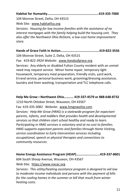**Habitat for Humanity…………………………………………………....419-335-7000**

104 Monroe Street, Delta, OH 43515

Web Site: [www.habitatfco.org](http://www.habitatfco.org/)

*Services: Housing for low income families with the assistance of no interest mortgages with the family helping build the housing unit. They also offer the Northwest Ohio ReStore, a low-cost home improvement store.*

#### **Hands of Grace Faith in Action………………….…………….……..419-822-3556**

104 Monroe Street, Suite 2, Delta, OH 43515

#### *Fax: 419-822-3924 Website: www.handsofgrace.org*

Services: Any elderly or disabled Fulton County resident with an unmet need may request service. Minor home repair, temporary light housework, temporary meal preparation, friendly visits, yard work, Errand service, personal business work, grooming/dressing assistance, laundry and linen washing, transportation and TLC telephone calls.

#### **Help Me Grow—Northwest Ohio……..… 419-337-4579 or 888-648-8732**

1210 North Ottokee Street, Wauseon, OH 43567

Fax: 419-335-3082 Website: www.hmgnwohio.com

*Services: Help Me Grow (HMG) is a statewide program for expectant parents, infants, and toddlers that provides health and developmental services so that children start school healthy and ready to learn. Participating in HMG services is voluntary and at no cost to families. HMG supports expectant parents and families through [Home Visiting,](http://www.helpmegrow.org/en-US/familymembers.aspx) service coordination t[o Early Intervention](http://www.helpmegrow.org/en-US/Professionals.aspx) services including occupational, speech or physical therapies and connections to [community resources.](http://www.helpmegrow.org/en-US/documents.aspx)*

#### **Home Energy Assistance Program (HEAP)………………….…...419-337-8601**

604 South Shoop Avenue, Wauseon, OH 43567 Web Site: https://www.nocac.org

*Services: This utility/heating assistance program is designed to aid low to moderate income individuals and persons with the payment of bills for the cooling homes in the summer or bill that result from winter heating costs.*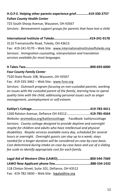#### **H.O.P.E. Helping other parents experience grief……………419-330-2757** *Fulton County Health Center*

725 South Shoop Avenue, Wauseon, OH 43567 *Services: Bereavement support groups for parents that have lost a child.*

#### **International Institute of Toledo…..…………………...………….419-241-9178**

3110 Tremainsville Road, Toledo, OH 43613

Fax: 419-241-9170 - Web Site: [www.internationalinstituteoftoledo.org](http://www.internationalinstituteoftoledo.org/) *Services: Immigration counseling, interpretation and translation services available for most languages.*

#### **It Takes Two………………………………..………….…………………..…800-693-6000** *Four County Family Center*

7320 State Route 108, Wauseon, OH 43567

Fax: 419-335-3462 – Web Site: [www.fsno.org](http://www.fsno.org/)

*Services: Outreach program focusing on non-custodial parents, working on issues with the custodial parent of the family, learning how to spend quality time with the child; addressing personal issues such as anger management, unemployment or self-esteem.*

**Kaitlyn's Cottage…………………………………………………………….419-783-4411** 1260 Ralston Avenue, Defiance OH 43512………………………..**419-785-4564** Website: [promedica.org/kaitlynscottage](http://www.promedica.org/kaitlynscottage) FaceBook: kaitlynscottage *Services: County cottage designed to provide daytime and overnight respite for children and adults who have intellectual and physical disabilities. Respite services available every day, scheduled for several hours or overnight. Overnight guests can stay up to a week; stays needed for a longer duration will be considered on case-by-case basis. Cost determined during intake on case-by-case basis and use of a sliding fee scale to identify appropriate cost for each family.* 

| 118 Clinton Street. Suite 101. Defiance. OH 43512 |  |
|---------------------------------------------------|--|
| Fax: $419-782-5830$ – Web Site: legalaidline.org  |  |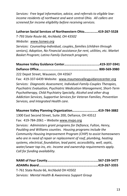*Services: Free legal information, advice, and referrals to eligible lowincome residents of northwest and west central Ohio. All callers are screened for income eligibility before receiving services.* 

#### **Lutheran Social Services of Northwestern Ohio…….…..….419-267-5528**

*T-793 State Route 66, Archbold, OH 43502*

*Website: [www.lssnwo.org](http://www.lssnwo.org/)*

*Services: Counseling-Individual, couples, families (children through seniors), Adoption, No Financial assistance for rent, utilities, etc. Market Basket Program; Latino Family Outreach program;*

**Maumee Valley Guidance Center………………………………...…419-337-5941 Defiance Office………………………………………………………...….. 800-569-3980**

222 Depot Street, Wauseon, OH 43567

Fax: 419-337-6439 Website: [www.maumeevalleyguidancecenter.org](http://www.maumeevalleyguidancecenter.org/) *Services: Diagnostic Assessment, Individual-Family-Couples Therapies, Psychiatric Evaluation, Psychiatric Medication Management, Short-Term Psychotherapy, Child Psychiatry Specially, Alcohol and other drug Addiction Services, Supportive Services for Veteran Families, Prevention Services, and Integrated Health care.*

**Maumee Valley Planning Organization………………………….419-784-3882**

1300 East Second Street, Suite 200, Defiance, OH 43512

Fax: 419-784-2061 – Website www.mvpo.org

*Services: Administers grant programs for Defiance, Fulton, Henry, Paulding and Williams counties. Housing programs include the Community Housing Improvement Program (CHIP) to assist homeowners who are in need of repair or replacement of roof, plumbing, heating systems, electrical, foundation, lead paint, accessibility, well, septic, water/sewer tap-ins, etc. Income and ownership requirements apply. Call for funding availability.*

| T-761 State Route 66. Archbold OH 43502           |  |
|---------------------------------------------------|--|
| Services: Mental Health & Awareness Support Group |  |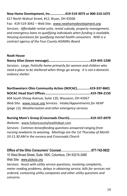#### **New Home Development, Inc……………...419-519-3075 or 800-310-1075** 617 North Walnut Street, #12, Bryan, OH 43506

Fax: 419-519-3042 – Web Site: [www.newhomedevelopment.org](http://www.newhomedevelopment.org/) *Services: Affordable rental units, rental subsidy, property management, and emergency loans to qualifying individuals when funding is available. Housing assistance for qualifying mental health consumers. NHD is a contract agency of the Four County ADAMhs Board.*

#### **Noah House**

**Nancy Allan (leave message)………………………..…………………419-445-1200** *Services: Large, Pettisille home primarily for women and children who need a place to be sheltered when things go wrong. It is not a domestic violence shelter.* 

**Northwestern Ohio Community Action (NOCAC).…..………419-337-8601 NOCAC Head Start Offices…………………………………..…..……..419-784-2150** 604 South Shoop Avenue, Suite 120, Wauseon, OH 43567 Web Site: [www.nocac.org](http://www.nocac.org/) *Services: Intake/Appointments for HEAP (page 12), Weatherization and other emergency services.*

#### **Nursing Mom's Group (Crossroads Church)……………..……..419-337-6979**

Website: www.fultoncountyhealthdept.com *Services: Common breastfeeding questions answered ranging from nursing newborns to weaning. Meetings are the 1st Thursday of Month 10-11:30 AM in the nursery and Crossroads Church*

**Office of the Ohio Consumers' Counsel…………………….….…877-742-5622** 10 West Broad Street, Suite 1800, Columbus, OH 43215-3485 Web Site: [www.pickocc.org](http://www.pickocc.org/) *Services: Assist with utility service questions, resolving complaints,* 

*meter reading problems, delays in obtaining service, bills for services not ordered, contacting utility companies and other utility questions and concerns.*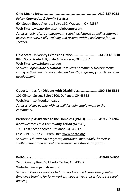**Ohio Means Jobs……………..………………………………….…………419-337-9215**

#### *Fulton County Job & Family Services*

604 South Shoop Avenue, Suite 110, Wauseon, OH 43567

Web Site: [www.northwestohiojobcenter.com](http://www.northwestohiojobcenter.com/)

*Services: Job referrals, placement, search assistance as well as internet access, interview skills, training and resume writing assistance for job seekers.*

**Ohio State University Extension Office…………………….…..…419-337-9210** 8870 State Route 108, Suite A, Wauseon, OH 43567 Web Site: [www.fulton.osu.edu](http://www.fulton.osu.edu/) *Services: Agriculture & Natural Resources Community Development; Family & Consumer Sciences; 4-H and youth programs, youth leadership development.*

**Opportunities for Ohioans with Disabilities………………...…800-589-5811** 101 Clinton Street, Suite 1100, Defiance, OH 43512 Website: http://ood.ohio.gov *Services: Helps people with disabilities gain employment in the community.*

#### **Partnership Assistance to the Homeless (PATH)………….….419-782-6962** *Northwestern Ohio Community Action (NOCAC)*

1939 East Second Street, Defiance, OH 43512 Fax: 419-782-7239 – Web Site: [www.nocac.org](http://www.nocac.org/) *Services: Educational programs, nutritional meals daily, homeless shelter, case management and seasonal assistance programs.*

**PathStone…………………………………………………………..….………419-875-6654**

2-453 County Road V, Liberty Center, OH 43532

Website: [www.pathstone.org](http://www.pathstone.org/)

*Services: Provides services to farm workers and low-income families. Employee training for farm workers, supportive services-food, car repair, housing;*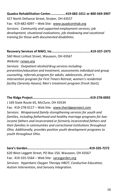**Quadco Rehabilitation Center.……………..419-682-1011 or 800-569-3907** 427 North Defiance Street, Stryker, OH 43557 Fax: 419-682-6097 – Web Site: [www.quadcorehab.org](http://www.quadcorehab.org/) *Services: Community and supported employment services, job development, situational evaluations, job shadowing and vocational training for those with documented disabilities.*

**Recovery Services of NWO, Inc.……………………………….……..419-337-1973**

560 West Linfoot Street, Wauseon, OH 43567

*Website: rsnwo.org*

*Services: Outpatient alcohol/drug services includingprevention/education and treatment, assessments individual and group counseling, referrals program for adults, adolescents, driver's intervention program for First Timers Retreat, women's residential facility (Serenity Haven); Men's treatment program (Fresh Start);*

**The Ridge Project……........................................................419-278-0092**

J 169 State Route 65, McClure, OH 43534

Fax: 419-278-0117 - Web Site: [www.theridgeproject.com](http://www.theridgeproject.com/)

*Services: Wraparound family strengthening services for youth and families, including fatherhood and healthy marriage programs for lowincome fathers and incarcerated or formerly incarcerated fathers and their families in communities and correctional institutions throughout Ohio. Additionally, provides positive youth development programs to youth throughout Ohio.*

**Sara's Garden……………………………………………………………..…419-335-7272** 620 West Leggett Street, PO Box 150, Wauseon, OH 43567 Fax: 419-335-5564 – Web Site: sarasgarden.org *Services: Hyperbaric Oxygen Therapy HBOT, Conductive Education, Autism Intervention, and Sensory Integration.*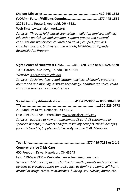22251 State Route 2, Archbold, OH 43521

Web Site: [www.shalomworks.org](http://www.shalomworks.org/)

*Services: Through faith based counseling, mediation services, wellness education workshops and seminars, support groups and pastoral consultations we service: children and adults, couples, families, churches, pastors, businesses, and schools; VORP-Victim Offender Reconciliation Program.*

#### **Sight Center of Northwest Ohio….……….419-720-3937 or 800-624-8378**

1002 Garden Lake Pkwy, Toledo, OH 43614

*Website: sightcentertoledo.org*

*Services: Social workers, rehabilitation teachers, children's programs, orientation and mobility, assistive technology, adaptive aid sales, youth transition services, vocational service*

**Social Security Administration……........…419-782-3950 or 800-600-2860 TTY………………………………………………………………………..…..…..800-325-0778** 273 Stadium Drive, Defiance, OH 43512

Fax: 419-784-5704 – Web Site: [www.socialsecurity.gov](http://www.socialsecurity.gov/) *Services: Issuance of new or replacement SS card, SS retirement or spouse's benefits, survivors benefits, disability benefits, child's benefits, parent's benefits, Supplemental Security Income (SSI), Medicare.*

**Teen Line……………………………………………….…….……877-419-7233 or 2-1-1**

#### **Comprehensive Crisis Care**

600 Freedom Drive, Napoleon, OH 43545

Fax: 419-592-8336 – Web Site: [www.teenlineonline.com](http://www.teenlineonline.com/) *Services: 24-hour confidential hotline for youth, parents and concerned persons to provide support on topics such as family problems, self-harm, alcohol or drugs, stress, relationships, bullying, sex, suicide, abuse, etc.*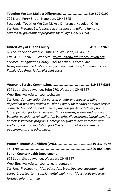**Together We Can Make a Difference……………………….……419-579-0199** 722 North Perry Street, Napoleon, OH 43545 Facebook: Together We Can Make a Difference-Napoleon Ohio *Services: Provides basic care, personal care and toiletry items not covered by government programs for all ages in NW Ohio.* 

**United Way of Fulton County………………………..………..……..419-337-9606** 604 South Shoop Avenue, Suite 122, Wauseon, OH 43567 Fax: 419-337-9606 – Web Site: [www.unitedwayfultoncountyoh.org](http://www.unitedwayfultoncountyoh.org/) *Services: Imagination Library, Pack to School, Cancer Caretransportation, medications, supplements and more, Community Care, FamilyWize Prescription discount cards.*

**Veteran's Service Commission…….……………………….…………419-337-9266**

604 South Shoop Avenue, Suite 270, Wauseon, OH 43567 Web Site: [www.fultoncountyoh.com](http://www.fultoncountyoh.com/)

*Services: Compensation for veteran or veterans spouse or minor dependent who has resided in Fulton County for 90 days or more; service connected disabilities and diseases, appeals for denied claims, home loans, pension for low income wartime veterans, widow and survivor benefits, vocational rehabilitation benefits, life insurance/burial benefits, homeless veterans programs, emergency fund to help veteran's with shelter, food, transportation for FC veterans to VA doctors/medical appointments and other needs.*

|                                                                      | .800-888-4804 |
|----------------------------------------------------------------------|---------------|
| <b>Fulton County Health Department</b>                               |               |
| 606 South Shoop Avenue, Wauseon, OH 43567                            |               |
| Web Site: www.fultoncountyhealthdept.com                             |               |
| Services: Provides nutrition education, breastfeeding education and  |               |
| support; postpartum; supplemental, highly nutritious foods and iron- |               |
| fortified infant formula.                                            |               |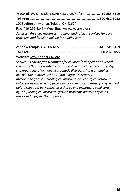**YWCA of NW Ohio Child Care Resource/Referral…………….419-255-5519 Toll Free………………………………………………………………………… 800-632-3052** 1018 Jefferson Avenue, Toledo, OH 43604 Fax: 419-255-3349 – Web Site: [www.ywcanwo.org](http://www.ywcanwo.org/) *Services: Provides resources, training, and referral services for care providers and families looking for quality care*.

Website: [www.shrinersHQ.org](http://www.shrinershq.org/) 

*Services: Provide free treatment for children (orthopedic or burned). Diagnosis that are treated in outpatient clinic include: cerebral palsy, clubfoot, general orthopedics, genetic disorders, hand anomalies, juvenile rheumatoid arthritis, limb length discrepancy, myelomeningocele, neurological disorders, neurosurgical disorders, ontogenesis imperfect a, pectus excavatum; plastic surgery: cleft lip and palate repairs & burn scars, prosthetics and orthotics, spinal cord injuries, urological disorders, growth problems paralysis of limbs, dislocated hips, perthes disease.*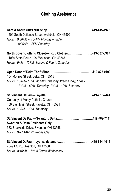# **Clothing Assistance**

| 1201 South Defiance Street, Archbold, OH 43502        |  |
|-------------------------------------------------------|--|
| Hours: 9:30AM - 5:30PM Monday - Friday                |  |
| $9:30AM - 3PM$ Saturday                               |  |
| North Dover Clothing Closet-FREE Clothes419-337-8967  |  |
| 11080 State Route 108, Wauseon, OH 43567              |  |
| Hours: 9AM - 12PM, Second & Fourth Saturday           |  |
|                                                       |  |
| 104 Monroe Street, Delta, OH 43515                    |  |
| Hours: 10AM - 5PM, Monday, Tuesday, Wednesday, Friday |  |
| 10AM - 6PM, Thursday; 10AM - 1PM, Saturday            |  |
|                                                       |  |
|                                                       |  |
| Our Lady of Mercy Catholic Church                     |  |
| 409 East Main Street, Fayette, OH 43521               |  |
| Hours: 10AM - 3PM, Thursday                           |  |
|                                                       |  |
| <b>Swanton &amp; Delta Residents Only</b>             |  |
| 333 Brookside Drive, Swanton, OH 43558                |  |
| Hours: $9 - 11$ AM $3rd$ Wednesday                    |  |
|                                                       |  |
| 2649 US 20, Swanton, OH 43558                         |  |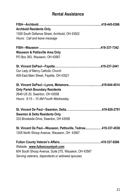# **Rental Assistance**

| <b>Archbold Residents Only</b>                               |  |
|--------------------------------------------------------------|--|
| 1309 South Defiance Street, Archbold, OH 43502               |  |
| Hours: Call and leave message                                |  |
|                                                              |  |
| <b>Wauseon &amp; Pettisville Area Only</b>                   |  |
| PO Box 363, Wauseon, OH 43567                                |  |
|                                                              |  |
| Our Lady of Mercy Catholic Church                            |  |
| 409 East Main Street, Fayette, OH 43521                      |  |
|                                                              |  |
| <b>Only Parish Boundary Residents</b>                        |  |
| 2649 US 20, Swanton, OH 43558                                |  |
| Hours: 8:15 - 10 AM Fourth Wednesday                         |  |
|                                                              |  |
| <b>Swanton &amp; Delta Residents Only</b>                    |  |
| 333 Brookside Drive, Swanton, OH 43558                       |  |
| St. Vincent De Paul-Wauseon, Pettisville, Tedrow419-337-4536 |  |
| 1205 North Shoop Avenue, Wauseon, OH 43567                   |  |
|                                                              |  |
| Website: www.fultoncountyoh.com                              |  |
| 604 South Shoop Avenue, Suite 270, Wauseon, OH 43567         |  |
| Serving veterans, dependents or widowed spouses.             |  |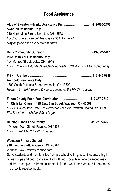## **Food Assistance**

| Aide of Swanton-Trinity Assistance Fund419-826-2492                                                                      |
|--------------------------------------------------------------------------------------------------------------------------|
| <b>Swanton Residents Only</b>                                                                                            |
| 210 North Main Street, Swanton, OH 43558                                                                                 |
| Food vouchers given out Tuesdays 9:30AM - 12PM                                                                           |
| May only use once every three months                                                                                     |
|                                                                                                                          |
| <b>Pike Delta York Residents Only</b>                                                                                    |
| 104 Monroe Street, Delta, OH 43515                                                                                       |
| Hours: 12 - 2PM Monday/Tuesday/Wednesday; 10AM - 12PM Thursday/Friday                                                    |
| <b>Archbold Residents Only</b>                                                                                           |
| 1309 South Defiance Street, Archbold, OH 43502                                                                           |
| Hours: 11 - 2PM Second & Fourth Tuesdays; 6-8 PM 3rd Tuesday                                                             |
| 1 <sup>st</sup> Christian Church, 129 East Elm Street, Wauseon OH 43567                                                  |
| Hours: County Wide drive 3rd Wednesday at First Christian Church, 129 East<br>Elm Street, $9 - 11$ AM until food is gone |
| 104 West Main Street, Fayette, OH 43521<br>Hours: 1-4 PM, 2nd & 4th Thursdays                                            |

#### **Wauseon Primary School**

#### **940 East Leggett, Wauseon, OH 43567**

Website: www.freetastesgood.com

Serve students and their families from preschool to  $8<sup>th</sup>$  grade. Students bring in request slips and book bags are filled with food for at least one balanced meal and then a couple of other smaller meals for the weekends when children are not in school to receive meals.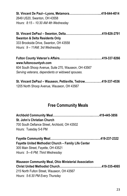| 2649 US20, Swanton, OH 43558         |  |
|--------------------------------------|--|
| Hours: $8:15-10:30$ AM 4th Wednesday |  |

#### **St. Vincent DePaul – Swanton, Delta………………………………..419-826-2791 Swanton & Delta Residents Only** 333 Brookside Drive, Swanton, OH 43558 *Hours: 9 – 11AM; 3rd Wednesday*

**Fulton County Veteran's Affairs………………..…………...….……419-337-9266 www.fultoncountyoh.com** 604 South Shoop Avenue, Suite 270, Wauseon, OH 43567 *Serving veterans, dependents or widowed spouses.*

| St. Vincent DePaul - Wauseon, Pettisville, Tedrow419-337-4536 |  |
|---------------------------------------------------------------|--|
| 1205 North Shoop Avenue, Wauseon, OH 43567                    |  |

## **Free Community Meals**

| <b>St. John's Christian Church</b>                          |  |
|-------------------------------------------------------------|--|
| 700 South Defiance Street, Archbold, OH 43502               |  |
| Hours: Tuesday 5-6 PM                                       |  |
|                                                             |  |
| <b>Fayette United Methodist Church - Family Life Center</b> |  |
| 305 Main Street, Fayette, OH 43521                          |  |
| Hours: 5-6 PM; Third Wednesday                              |  |
|                                                             |  |

| <b>Wauseon Community Meal, Ohio Ministerial Association</b> |  |
|-------------------------------------------------------------|--|
|                                                             |  |
| 215 North Fulton Street, Wauseon, OH 43567                  |  |
| Hours: 5-6:30 PM Every Thursday                             |  |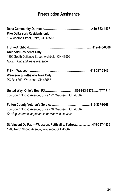# **Prescription Assistance**

| <b>Pike Delta York Residents only</b><br>104 Monroe Street, Delta, OH 43515                              |  |
|----------------------------------------------------------------------------------------------------------|--|
| <b>Archbold Residents Only</b><br>1309 South Defiance Street, Archbold, OH 43502                         |  |
| Hours: Call and leave message                                                                            |  |
| <b>Wauseon &amp; Pettisville Area Only</b><br>PO Box 363, Wauseon, OH 43567                              |  |
| 604 South Shoop Avenue, Suite 122, Wauseon, OH 43567                                                     |  |
| 604 South Shoop Avenue, Suite 270, Wauseon, OH 43567<br>Serving veterans, dependents or widowed spouses. |  |

**St. Vincent De Paul—Wauseon, Pettisville, Tedrow....................419-337-4536** 1205 North Shoop Avenue, Wauseon, OH 43567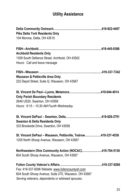# **Utility Assistance**

| <b>Pike Delta York Residents Only</b>                         |  |
|---------------------------------------------------------------|--|
| 104 Monroe, Delta, OH 43515                                   |  |
|                                                               |  |
| <b>Archbold Residents Only</b>                                |  |
| 1309 South Defiance Street, Archbold, OH 43502                |  |
| Hours: Call and leave message                                 |  |
|                                                               |  |
| <b>Wauseon &amp; Pettisville Area Only</b>                    |  |
| 222 Depot Street, Suite Q, Wauseon, OH 43567                  |  |
|                                                               |  |
| <b>Only Parish Boundary Residents</b>                         |  |
| 2649 US20, Swanton, OH 43558                                  |  |
| Hours: 8:15 - 10:30 AM Fourth Wednesday                       |  |
|                                                               |  |
| <b>Swanton &amp; Delta Residents Only</b>                     |  |
| 333 Brookside Drive, Swanton, OH 43558                        |  |
| St. Vincent DePaul - Wauseon, Pettisville, Tedrow419-337-4536 |  |
| 1205 North Shoop Avenue, Wauseon, OH 43567                    |  |
| Northwestern Ohio Community Action (NOCAC)419-784-5136        |  |
| 604 South Shoop Avenue, Wauseon, OH 43567                     |  |
|                                                               |  |
| Fax: 419-337-9296 Website: www.fultoncountyoh.com             |  |
| 604 South Shoop Avenue, Suite 270, Wauseon, OH 43567          |  |
| Serving veterans, dependents or widowed spouses.              |  |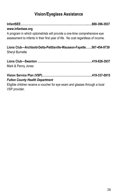# **Vision/Eyeglass Assistance**

| www.infantsee.org                                                                                                                                             |  |
|---------------------------------------------------------------------------------------------------------------------------------------------------------------|--|
| A program in which optometrists will provide a one-time comprehensive eye<br>assessment to infants in their first year of life. No cost regardless of income. |  |
| Lions Club-Archbold-Delta-Petttisville-Wauseon-Fayette567-454-9739<br><b>Sheryl Burnette</b>                                                                  |  |
| Mark & Penny Jones                                                                                                                                            |  |
| <b>Fulton County Health Department</b>                                                                                                                        |  |
| Eligible children receive a voucher for eye exam and glasses through a local<br>VSP provider.                                                                 |  |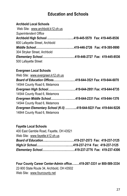## **Education and Schools**

## **Archbold Local Schools** Web Site: [www.archbold.k12.oh.us](http://www.archbold.k12.oh.us/) *Superintendent Office* **Archbold High School .…………………..….419-445-5579 Fax: 419-445-8536** 600 Lafayette Street, Archbold *Middle School***…………………………….……419-446-2726 Fax: 419-395-9990**  304 Stryker Street, Archbold *Elementary School***………………………….…419-446-2727 Fax: 419-445-8536** 500 Lafayette Street **Evergreen Local Schools**  Web Site: [www.evergreen.k12.oh.us](http://www.evergreen.k12.oh.us/) *Board of Education Offices***………………..…419-644-3521 Fax: 419-644-6070** 14544 County Road 6, Metamora *Evergreen High School***…………………….….419-644-2951 Fax: 419-644-6735**  14544 County Road 6, Metamora *Evergreen Middle School………………..……***419-644-2331 Fax: 419-644-1376**

14544 County Road 6, Metamora *Evergreen Elementary School (K-5)* **………...419-644-9221 Fax: 419-644-9226** 14844 County Road 6, Metamora

#### **Fayette Local Schools**

400 East Gamble Road, Fayette, OH 43521 Web Site: [www.fayette.k12.oh.us](http://www.fayette.k12.oh.us/) *Board of Education***…..……………….………419-237-2573 Fax: 419-237-3125** *High/Jr School***………….………………..…...419-237-2114 Fax: 419-237-3125** *Elementary School***…………………….………419-237-2776 Fax: 419-237-4306**

**Four County Career Center-Admin office…..…419-267-3331 or 800-589-3334** 22-900 State Route 34, Archbold, OH 43502 Web Site: [www.fourcounty.net](http://www.fourcounty.net/)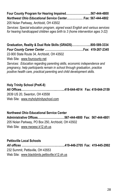#### **Four County Program for Hearing Impaired……………………..567-444-4800** *Northwest Ohio Educational Service Center…………….*..**Fax: 567-444-4802** 205 Nolan Parkway, Archbold, OH 43502

*Services: Special education program, signed exact English and various services for hearing handicapped children ages birth to 3 (home intervention ages 3-22)*

**Graduation, Reality & Dual Role Skills (GRADS)…….………....800-589-3334** *Four County Career Center* **………………………………….Fax: 419-267-2345** 22-900 State Route 34, Archbold, OH 43502 Web Site: [www.fourcounty.net](http://www.fourcounty.net/) *Services: Education regarding parenting skills, economic independence and* 

*pregnancy, help participants remain in school through graduation, practice positive health care, practical parenting and child development skills.*

**Holy Trinity School (PreK-8) All Offices………………………..……..……...419-644-4014 Fax: 419-644-2159** 2639 US 20, Swanton, OH 43558 Web Site: [www.m](http://www.school-sjl@defnet.com)yholytrinityschool.com

**Northwest Ohio Educational Service Center Administrative Offices………………….……567-444-4800 Fax: 567-444-4801** 205 Nolan Parkway, PO Box 250, Archbold, OH 43502 Web Site: [www.nwoesc.k12.oh.us](http://www.nwoesc.k12.oh.us/)

**Pettisville Local Schools** *All offices* **…………….…..…………….….…..419-446-2705 Fax: 419-445-2992**  232 Summit, Pettisville, OH 43553 Web Site: [www.blackbirds.pettisville.k12.oh.us](http://www.blackbirds.pettisville.k12.oh.us/)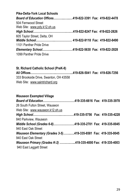| <b>Pike-Delta-York Local Schools</b>                     |  |  |
|----------------------------------------------------------|--|--|
| Board of Education Offices419-822-3391 Fax: 419-822-4478 |  |  |
| 504 Fernwood Street                                      |  |  |
| Web Site: www.pdy.k12.oh.us                              |  |  |
|                                                          |  |  |
| 605 Taylor Street, Delta, OH                             |  |  |
|                                                          |  |  |
| 1101 Panther Pride Drive                                 |  |  |
|                                                          |  |  |
| 1099 Panther Pride Drive                                 |  |  |

#### **St. Richard Catholic School (PreK-8) All Offices………………….…..……………...419-826-5041 Fax: 419-826-7256** 333 Brookside Drive, Swanton, OH 43558 Web Site: www.saintrichard.org

| <b>Wauseon Exempted Village</b>                                  |  |  |
|------------------------------------------------------------------|--|--|
|                                                                  |  |  |
| 26 South Fulton Street, Wauseon                                  |  |  |
| Web Site: www.wauseon.k12.oh.us                                  |  |  |
|                                                                  |  |  |
| 840 Parkview, Wauseon                                            |  |  |
| Middle School (Grades 6-8)419-335-2701 Fax: 419-335-0045         |  |  |
| 940 East Oak Street                                              |  |  |
| Wauseon Elementary (Grades 3-5)419-335-6581    Fax: 419-335-0045 |  |  |
| 940 East Oak Street                                              |  |  |
| Wauseon Primary (Grades K-2) 419-335-4000 Fax: 419-335-4003      |  |  |
| 940 East Leggett Street                                          |  |  |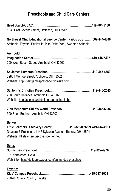# **Preschools and Child Care Centers**

| 1933 East Second Street, Defiance, OH 43512                                                                                                                                          |  |
|--------------------------------------------------------------------------------------------------------------------------------------------------------------------------------------|--|
| Northwest Ohio Educational Service Center (NWOESCS) 567-444-4800<br>Archbold, Fayette, Pettisville, Pike-Delta-York, Swanton Schools                                                 |  |
| Archbold:<br>200 West Beech Street, Archbold, OH 43502                                                                                                                               |  |
| 22881 Monroe Street, Archbold, OH 43502<br>Website: http://saintjamespreschool.yolasite.com/                                                                                         |  |
| 700 South Defiance, Archbold OH 43502<br>Website: http://stjohnsarchbold.org/preschool.php                                                                                           |  |
| 300 Short Buehrer, Archbold OH 43502                                                                                                                                                 |  |
| Berkey:<br>Little Learners Discovery Center419-829-0892 or 419-644-4191<br>Daycare & Preschool, 1145 Sylvania Avenue, Berkey, OH 43504<br>Website: littlelearnersdiscoverycenter.net |  |
| Delta:<br>101 Northwood, Delta<br>Web Site: http://deltaumc.webs.com/sunny-day-preschool                                                                                             |  |
| Fayette:<br>25070 County Road L, Fayette                                                                                                                                             |  |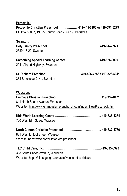| <b>Pettisville:</b><br>Pettisville Christian Preschool 419-445-7186 or 419-591-6279<br>PO Box 53037, 19055 County Roads D & 19, Pettisville |
|---------------------------------------------------------------------------------------------------------------------------------------------|
| Swanton:                                                                                                                                    |
| 2639 US 20, Swanton                                                                                                                         |
| 2041 Airport Highway, Swanton                                                                                                               |
| 333 Brookside Drive, Swanton                                                                                                                |
| Wauseon:<br>841 North Shoop Avenue, Wauseon                                                                                                 |
| Website: http://www.emmauslutheranchurch.com/index_files/Preschool.htm                                                                      |
| 700 West Elm Street, Wauseon                                                                                                                |
| 831 West Linfoot Street, Wauseon<br>Website: http://www.northclinton.org/preschool                                                          |
| 398 South Shoop Avenue, Wauseon<br>Website: https://sites.google.com/site/wauseontlcchildcare/                                              |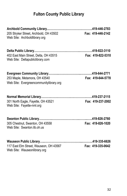# **Fulton County Public Library**

| 205 Stryker Street, Archbold, OH 43502 Fax: 419-446-2142<br>Web Site: Archboldlibrary.org |                   |
|-------------------------------------------------------------------------------------------|-------------------|
|                                                                                           |                   |
| 402 East Main Street, Delta, OH 43515<br>Web Site: Deltapubliclibrary.com                 | Fax: 419-822-5310 |
|                                                                                           |                   |
| 253 Maple, Metamora, OH 43540<br>Web Site: Evergreencommunitylibrary.org                  | Fax: 419-644-5778 |
|                                                                                           |                   |
| 301 North Eagle, Fayette, OH 43521<br>Web Site: Fayette-nml.org                           | Fax: 419-237-2002 |
|                                                                                           |                   |
| 305 Chestnut, Swanton, OH 43558<br>Web Site: Swanton.lib.oh.us                            | Fax: 419-826-1020 |
|                                                                                           |                   |
| 117 East Elm Street, Wauseon, OH 43567 Fax: 419-335-0642                                  |                   |

Web Site: Wauseonlibrary.org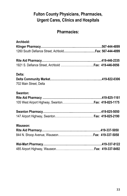# **Fulton County Physicians, Pharmacies, Urgent Cares, Clinics and Hospitals**

## **Pharmacies:**

| Archbold:              |  |
|------------------------|--|
|                        |  |
|                        |  |
|                        |  |
|                        |  |
| Delta:                 |  |
|                        |  |
| 702 Main Street, Delta |  |
| Swanton:               |  |
|                        |  |
|                        |  |
|                        |  |
|                        |  |
| Wauseon:               |  |
|                        |  |
|                        |  |
|                        |  |
|                        |  |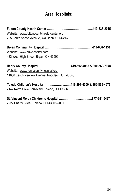## **Area Hospitals:**

**Fulton County Health Center …………………………………….…..419-335-2015** Website: [www.fultoncountyhealthcenter.org](http://www.fultoncountyhealthcenter.org/) 725 South Shoop Avenue, Wauseon, OH 43567

**Bryan Community Hospital ……………………………..……….…..419-636-1131** Website: [www.chwhospital.com](http://www.chwhospital.com/) 433 West High Street, Bryan, OH 43506

**Henry County Hospital…...………………….…….419-592-4015 & 800-569-7948** Website: [www.henrycountyhospital.org](http://www.henrycountyhospital.org/) 11600 East Riverview Avenue, Napoleon, OH 43545

**Toledo Children's Hospital……………….....……419-291-4000 & 866-865-4677** 2142 North Cove Boulevard, Toledo, OH 43606

**St. Vincent Mercy Children's Hospital …………………..…..…….877-251-5437** 2222 Cherry Street, Toledo, OH 43608-2801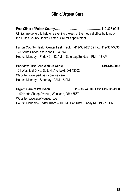## **Clinic/Urgent Care:**

**Free Clinic of Fulton County…………………..……………………..419-337-0915** Clinics are generally held one evening a week at the medical office building of the Fulton County Health Center. Call for appointment

**Fulton County Health Center Fast Track.…419-335-2015 / Fax: 419-337-5393** 725 South Shoop, Wauseon OH 43567 Hours: Monday – Friday 6 – 12 AM Saturday/Sunday 4 PM – 12 AM

**Parkview First Care Walk-in Clinic……………………….………….419-445-2015** 121 Westfield Drive, Suite 4, Archbold, OH 43502 Website: www.parkview.com/firstcare Hours: Monday – Saturday 10AM – 8 PM

**Urgent Care of Wauseon……………………..419-335-4600 / Fax: 419-335-4900** 1190 North Shoop Avenue, Wauseon, OH 43567 Website: [www.ucofwauseon.com](http://www.ucofwauseon.com/) Hours: Monday – Friday 10AM – 10 PM Saturday/Sunday NOON – 10 PM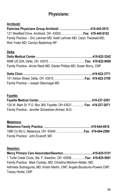## **Physicians:**

#### **Archbold:**

**Parkview Physicians Group Archbold …………………….….…419-445-2015** 121 Westfield Drive, Archbold, OH 43502……………...……**Fax: 419-445-8102** Family Practice -- Eric Lehman MD; Keith Lehman MD; Caryn Theobald MD; Rick Yoder MD; Carolyn Badenhop NP

#### **Delta:**

| Family Practice - Annie Steck MD; Dexter Phillips MD; Susan Murry, CNP |  |
|------------------------------------------------------------------------|--|

**Delta Clinic ……………………………………………….………….….419-822-3771** 101 Adrian Street, Delta, OH 43515 …………………..………**Fax: 419-822-3759** Family Practice – Joseph Steurnagel MD

#### **Fayette:**

| 124 W. Main St. P.O. Box 369, Fayette, OH 43521Fax: 419-237-2671 |  |
|------------------------------------------------------------------|--|
| Family Practice: Jennifer Schweitzer-Ahmed, M.D.                 |  |

#### **Metamora:**

| Family Practice: John Evanoff, MD |  |
|-----------------------------------|--|

#### **Swanton:**

**Mercy Primary Care Associates/Swanton………………………….419-825-5151**  1 Turtle Creek Circle, Ste. F, Swanton, OH 43558…………...**Fax: 419-825-5901** Family Practice: Mark Cockley, MD; Christina Mitchem-Walter, MD; Adhineta Sudnagunta, MD; Kristin Martin, CNP; Angela Boudouris-Powers CNP; Tracey Hinkle, CNP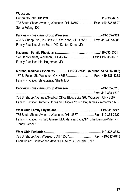**Wauseon:**

**Fulton County OB/GYN……………………………………….……….419-335-6377**  725 South Shoop Avenue, Wauseon, OH 43567 ………..…..**Fax: 419-335-6807** Sema Fofung, DO

**Parkview Physicians Group Wauseon……………………..………419-335-7921** 495 S. Shoop Ave., PO Box 418, Wauseon, OH 43567..…...**Fax: 419-337-5988** Family Practice: Jana Bourn MD; Kenton Kamp MD

**Hagerman Family Physicians…………………….….………….….419-335-0351** 128 Depot Street, Wauseon, OH 43567……………..……….**Fax: 419-335-0397** Family Practice: Kim Hagerman MD

**Morenci Medical Associates.……........419-335-2811 (Morenci 517-458-6848)** 137 S. Fulton St., Wauseon, OH 43567……………….....……**Fax: 419-335-3388** Family Practice: Shivaprasad Shetty MD

**Parkview Physicians Group Wauseon……………..………………419-335-0215 ……………………………………………………………..……….Fax: 419-335-0379** 725 S. Shoop Avenue @Medical Office Bldg, Suite G02 Wauseon, OH 43567 Family Practice: Anthony Uribes MD; Nicole Young PA; James Zimmerman MD

**West Ohio Family Physicians….…….………………………..…….419-335-3242** 735 South Shoop Avenue, Wauseon, OH 43567.……………..**Fax: 419-335-3222** Family Practice: Richard Grieser MD; Marissa Baus,NP; Billie Denton-Miller NP; Tiffany Siegel NP

**West Ohio Pediatrics……………………………………….………….419-335-3333**  725 S. Shoop Ave., Wauseon, OH 43567…………….….……**.Fax: 419-337-7845** Pediatrician: Christopher Meyer MD; Kelly G. Routhier, FNP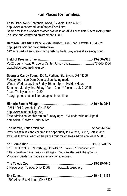## **Fun Places for families:**

**Fossil Park** 5705 Centennial Road, Sylvania, Ohio 43560 http://www.olanderpark.com/pages/Fossil.htm Search for these world-renowned fossils in an ADA accessible 5 acre rock quarry in a safe and controlled environment. FREE

**Harrison Lake State Park**, 26246 Harrison Lake Road, Fayette, OH 43521 http://parks.ohiodnr.gov/harrisonlake 142 acre park offering swimming, fishing, trails, play areas & a campground.

**[Field of Dreams Drive In](http://www.fieldofdreamsdrivein.com/)………………………………………………419-966-2988** V602 County Road 6, Liberty Center, Ohio 43532**……………...……877-343-5334** [www.fieldofdreamsdrivein.com](http://www.fieldofdreamsdrivein.com/)

**Spangler Candy Tours,** 400 N. Portland St., Bryan, OH 43506 Factory tour- see Dum-Dum suckers being made Winter: Wednesday thru Friday 10am - 3pm [Holiday Hours](http://www.spanglercandy.com/about-us/tour-store-museum-holiday-hours) Summer: Monday thru Friday 10am - 3pm \*\* Closed - July 3, 2015 \* Last Trolley leaves at 2:30 \* Large groups can call for an appointment time

**Historic Sauder Village………………………………………….…….419-446-2541** 22611 OH-2, Archbold, OH 43502 http://www.saudervillage.org Free admission for children on Sunday ages 16 & under with adult paid admission. Children under 5 free

**The Centre**, Adrian Michigan**…………………………….…………….517-263-6232** Provides families and children the opportunity to Bounce, Climb, Splash and swim as they visit each of the park's four major areas admission fee is \$6.00.

**[577 Foundation](http://www.577foundation.org/) …………………………………………………………419-872-0305** 577 East Front St., Perrysburg, Ohio 43551 [www.577foudation.org](http://www.577foudation.org/) Offers creative class ideas for all ages. You can also walk the grounds, [Virginia's Garden](http://www.577foundation.org/comeonin.asp#VG) is made especially for little ones.

| 2 Hippo Way, Toledo, Ohio 43609 www.toledozoo.org |  |
|---------------------------------------------------|--|
|                                                   |  |
| 1600 Albon Rd. Holland, OH 43528                  |  |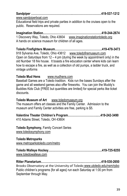| www.candninarhoat.com |  |
|-----------------------|--|

[www.sandpiperboat.com](http://www.sandpiperboat.com/)

Educational field trips and private parties in addition to the cruises open to the public. Reservations are required.

**[Imagination Station](http://imaginationstationtoledo.org/)…………………………………………………….419-244-2674** 1 Discovery Way, Toledo, Ohio 43604 [www.imaginationstationtoledo.org](http://www.imaginationstationtoledo.org/) A hands on science museum for children of all ages.

**[Toledo Firefighters Museum](http://www.toledofiremuseum.com/)………………………………………….419-478-3473** 918 Sylvania Ave, Toledo, Ohio 43612 [www.toledofiremuseum.com](http://www.toledofiremuseum.com/) Open on Saturdays from  $12 - 4$  pm {during the week by appointment only} in the old Number 18 fire house. It boasts a fire education center where kids can learn how to escape a fire, as well as a collection of old pumps, a ladder truck, and vintage uniforms

#### **[Toledo Mud Hens](http://web.minorleaguebaseball.com/index.jsp?sid=t512)** [www.mudhens.com](http://www.mudhens.com/)

Baseball Games are a Toledo tradition. Kids run the bases Sundays after the game and all weekend games also offer fireworks. You can join the [Muddy's](http://web.minorleaguebaseball.com/team4/page.jsp?ymd=20100301&content_id=8638792&vkey=team4_t512&fext=.jsp&sid=t512)  [Buddies Kids Club](http://web.minorleaguebaseball.com/team4/page.jsp?ymd=20100301&content_id=8638792&vkey=team4_t512&fext=.jsp&sid=t512) {FREE but quantities are limited} for special perks like ticket discounts.

#### **[Toledo Museum of Art](http://www.toledomuseum.org/)** [www.toledomuseum.org](http://www.toledomuseum.org/)

The museum offers art classes and the Family Center. Admission to the museum and Family Center activities are free, parking is \$5.

#### **[Valentine Theater](http://www.valentinetheatre.com/) Children's Program………………………….…419-242-3490**

410 Adams Street, Toledo, OH 43604

**[Toledo Symphony,](http://www.toledosymphony.com/)** Family Concert Series [www.toledosymphony.com](http://www.toledosymphony.com/)

#### **[Toledo Metroparks](http://www.metroparkstoledo.com/metro/)**

[www.metroparkstoledo.com/metro](http://www.metroparkstoledo.com/metro)

**[Toledo Walleye Hockey](http://www.toledowalleye.com/)………………………………………………..419-725-9255** [www.toledowalleye.com](http://www.toledowalleye.com/)

**[Ritter Planetarium](http://www.utoledo.edu/as/rpbo/index.html)…………………………………….………………..419-530-2650** Brooks Observatory at the University of Toledo [www.utoledo.edu/nsm/rpbo](http://www.utoledo.edu/nsm/rpbo) Public children's programs {for all ages} run each Saturday at 1:00 pm from September through May.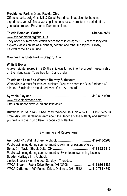#### **Providence Park** [in Grand Rapids, Ohio](http://www.metroparkstoledo.com/metro/parksandplaces/index.asp?page_id=527)

Offers Isaac Ludwig Grist Mill & Canal Boat rides, In addition to the canal experience, you will find a working limestone lock, characters in period attire, a general store, and Providence Dam to explore.

# **[Toledo Botanical Garden](http://www.toledogarden.org/) …………………………………………….419-536-5566**

[www.toledogarden.org/about-us](http://www.toledogarden.org/about-us)

They offer a summer education series for children ages 6 – 12 where they can explore classes on life as a pioneer, pottery, and other fun topics. Crosby Festival of the Arts in June

#### **Maumee [Bay State Park](http://www.dnr.state.oh.us/tabid/764/Default.aspx)** in Oregon, Ohio

#### **[Willis B Boyer](http://willisbboyer.org/index.html)**

A lake freighter retired in 1980, the ship was turned into the largest museum ship on the inland seas. Tours free for 10 and under

#### **[Toledo and Lake Erie Western Railway & Museum](http://tlew.org/)**,

Waterville is a must for train enthusiasts. You can board the Blue Bird for a 60 minute, 15 mile ride around northwest Ohio. All aboard!

**[Sylvania Playland](http://www.sylvaniaplayland.com/) ………………………………………………...……419-517-9094** [www.sylvaniaplayland.com](http://www.sylvaniaplayland.com/) Offers an indoor playground and inflatables

**[Butterfly House](http://butterfly-house.com/)**, 11455 Obee Road, Whitehouse, Ohio 43571**.......419-877-2733** From May until September learn about the lifecycle of the butterfly and surround yourself with over 100 different species of butterflies.

#### **Swimming and Recreational**

**Archbold**: 415 Walnut Street, Archbold **……………………………...419-445-2268** Public swimming during summer months-swimming lessons offered **Delta:** 511 Taylor Street, Delta, OH **…………………………………..419-822-3116** Public swimming during summer months; Swim team, swimming lessons **Sauder Heritage Inn**, Archbold Limited Indoor swimming pool Sunday – Thursday. **YMCA-Bryan**, 1 Faber Drive, Bryan, OH 43506……...**…………......419-636-6185 YMCA-Defiance**, 1599 Palmer Drive, Defiance, OH 43512 **…….....419-784-4747**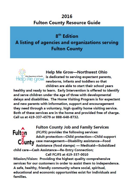# 2016 **Fulton County Resource Guide**

8<sup>th</sup> Edition A listing of agencies and organizations serving **Fulton County** 



**Help Me Grow-Northwest Ohio In Department of Houston**<br>ITHE CIYOW is dedicated to serving expectant parents, newborns, infants and toddlers so that children are able to start their school vears

healthy and ready to learn. Early Intervention is offered to identify and serve children under the age of three with developmental delays and disabilities. The Home Visiting Program is for expectant and new parents with information, support and encouragement they need through a voluntary, high quality home visiting service. Both of these services are in the home and provided free of charge. Call us at 419-337-4579 or 888-648-8732.



**Fulton County Job and Family Services** (FCJFS) provides the following services: Adult protection-Child protection-Child support case management-Disability assistance-Food Assistance (food stamps) - Medicaid-Subsidized

child care-Cash Assistance-Re-Entry Connection;

Call FCJFS at 419-337-0010

Mission/Vision: Providing the highest quality comprehensive services for our customers in order to assist them to independence. A safe, healthy, friendly community where social, spiritual, educational and economic opportunities exist for individuals and families.